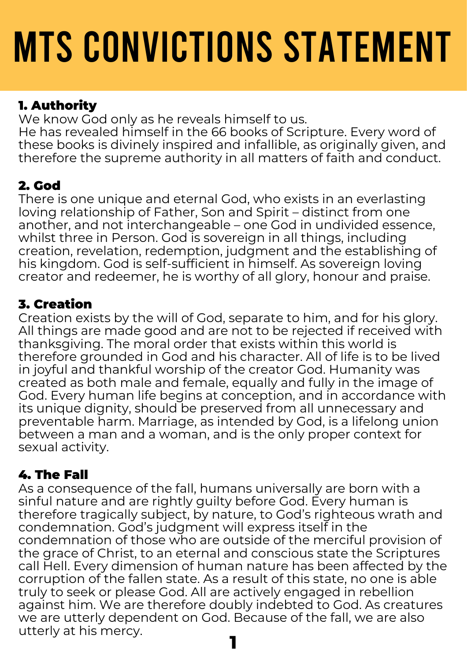# MTS CONVICTIONS STATEMENT

## 1. Authority

We know God only as he reveals himself to us. He has revealed himself in the 66 books of Scripture. Every word of these books is divinely inspired and infallible, as originally given, and therefore the supreme authority in all matters of faith and conduct.

## 2. God

There is one unique and eternal God, who exists in an everlasting loving relationship of Father, Son and Spirit – distinct from one another, and not interchangeable – one God in undivided essence, whilst three in Person. God is sovereign in all things, including creation, revelation, redemption, judgment and the establishing of his kingdom. God is self-sufficient in himself. As sovereign loving creator and redeemer, he is worthy of all glory, honour and praise.

## 3. Creation

Creation exists by the will of God, separate to him, and for his glory. All things are made good and are not to be rejected if received with thanksgiving. The moral order that exists within this world is therefore grounded in God and his character. All of life is to be lived in joyful and thankful worship of the creator God. Humanity was created as both male and female, equally and fully in the image of God. Every human life begins at conception, and in accordance with its unique dignity, should be preserved from all unnecessary and preventable harm. Marriage, as intended by God, is a lifelong union between a man and a woman, and is the only proper context for sexual activity.

## 4. The Fall

As a consequence of the fall, humans universally are born with a sinful nature and are rightly guilty before God. Every human is therefore tragically subject, by nature, to God's righteous wrath and condemnation. God's judgment will express itself in the condemnation of those who are outside of the merciful provision of the grace of Christ, to an eternal and conscious state the Scriptures call Hell. Every dimension of human nature has been affected by the corruption of the fallen state. As a result of this state, no one is able truly to seek or please God. All are actively engaged in rebellion against him. We are therefore doubly indebted to God. As creatures we are utterly dependent on God. Because of the fall, we are also utterly at his mercy. **1**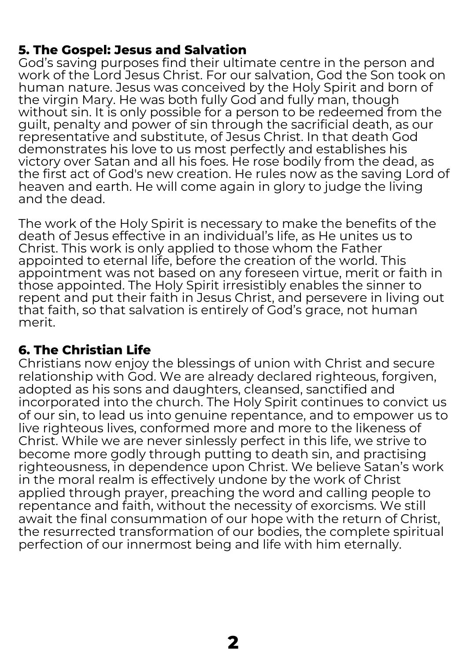#### **5. The Gospel: Jesus and Salvation**

God's saving purposes find their ultimate centre in the person and work of the Lord Jesus Christ. For our salvation, God the Son took on human nature. Jesus was conceived by the Holy Spirit and born of the virgin Mary. He was both fully God and fully man, though without sin. It is only possible for a person to be redeemed from the guilt, penalty and power of sin through the sacrificial death, as our representative and substitute, of Jesus Christ. In that death God demonstrates his love to us most perfectly and establishes his victory over Satan and all his foes. He rose bodily from the dead, as the first act of God's new creation. He rules now as the saving Lord of heaven and earth. He will come again in glory to judge the living and the dead.

The work of the Holy Spirit is necessary to make the benefits of the death of Jesus effective in an individual's life, as He unites us to Christ. This work is only applied to those whom the Father appointed to eternal life, before the creation of the world. This appointment was not based on any foreseen virtue, merit or faith in those appointed. The Holy Spirit irresistibly enables the sinner to repent and put their faith in Jesus Christ, and persevere in living out that faith, so that salvation is entirely of God's grace, not human merit.

### **6. The Christian Life**

Christians now enjoy the blessings of union with Christ and secure relationship with God. We are already declared righteous, forgiven, adopted as his sons and daughters, cleansed, sanctified and incorporated into the church. The Holy Spirit continues to convict us of our sin, to lead us into genuine repentance, and to empower us to live righteous lives, conformed more and more to the likeness of Christ. While we are never sinlessly perfect in this life, we strive to become more godly through putting to death sin, and practising righteousness, in dependence upon Christ. We believe Satan's work in the moral realm is effectively undone by the work of Christ applied through prayer, preaching the word and calling people to repentance and faith, without the necessity of exorcisms. We still await the final consummation of our hope with the return of Christ, the resurrected transformation of our bodies, the complete spiritual perfection of our innermost being and life with him eternally.